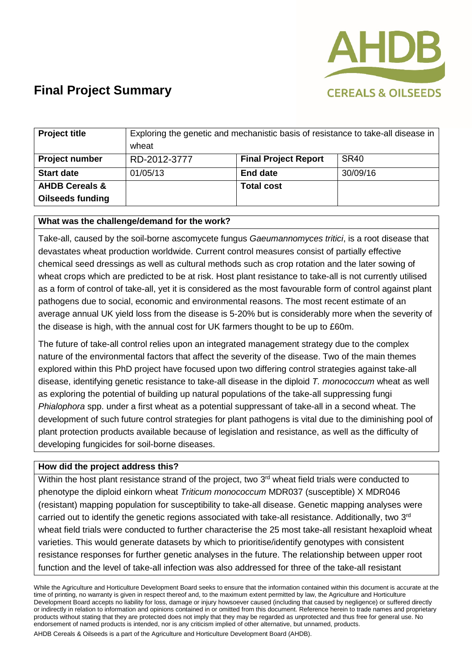

| <b>Project title</b>      | Exploring the genetic and mechanistic basis of resistance to take-all disease in<br>wheat |                             |             |
|---------------------------|-------------------------------------------------------------------------------------------|-----------------------------|-------------|
| <b>Project number</b>     | RD-2012-3777                                                                              | <b>Final Project Report</b> | <b>SR40</b> |
| <b>Start date</b>         | 01/05/13                                                                                  | <b>End date</b>             | 30/09/16    |
| <b>AHDB Cereals &amp;</b> |                                                                                           | <b>Total cost</b>           |             |
| <b>Oilseeds funding</b>   |                                                                                           |                             |             |

### **What was the challenge/demand for the work?**

Take-all, caused by the soil-borne ascomycete fungus *Gaeumannomyces tritici*, is a root disease that devastates wheat production worldwide. Current control measures consist of partially effective chemical seed dressings as well as cultural methods such as crop rotation and the later sowing of wheat crops which are predicted to be at risk. Host plant resistance to take-all is not currently utilised as a form of control of take-all, yet it is considered as the most favourable form of control against plant pathogens due to social, economic and environmental reasons. The most recent estimate of an average annual UK yield loss from the disease is 5-20% but is considerably more when the severity of the disease is high, with the annual cost for UK farmers thought to be up to £60m.

The future of take-all control relies upon an integrated management strategy due to the complex nature of the environmental factors that affect the severity of the disease. Two of the main themes explored within this PhD project have focused upon two differing control strategies against take-all disease, identifying genetic resistance to take-all disease in the diploid *T. monococcum* wheat as well as exploring the potential of building up natural populations of the take-all suppressing fungi *Phialophora* spp. under a first wheat as a potential suppressant of take-all in a second wheat. The development of such future control strategies for plant pathogens is vital due to the diminishing pool of plant protection products available because of legislation and resistance, as well as the difficulty of developing fungicides for soil-borne diseases.

#### **How did the project address this?**

Within the host plant resistance strand of the project, two 3<sup>rd</sup> wheat field trials were conducted to phenotype the diploid einkorn wheat *Triticum monococcum* MDR037 (susceptible) X MDR046 (resistant) mapping population for susceptibility to take-all disease. Genetic mapping analyses were carried out to identify the genetic regions associated with take-all resistance. Additionally, two 3rd wheat field trials were conducted to further characterise the 25 most take-all resistant hexaploid wheat varieties. This would generate datasets by which to prioritise/identify genotypes with consistent resistance responses for further genetic analyses in the future. The relationship between upper root function and the level of take-all infection was also addressed for three of the take-all resistant

While the Agriculture and Horticulture Development Board seeks to ensure that the information contained within this document is accurate at the time of printing, no warranty is given in respect thereof and, to the maximum extent permitted by law, the Agriculture and Horticulture Development Board accepts no liability for loss, damage or injury howsoever caused (including that caused by negligence) or suffered directly or indirectly in relation to information and opinions contained in or omitted from this document. Reference herein to trade names and proprietary products without stating that they are protected does not imply that they may be regarded as unprotected and thus free for general use. No endorsement of named products is intended, nor is any criticism implied of other alternative, but unnamed, products.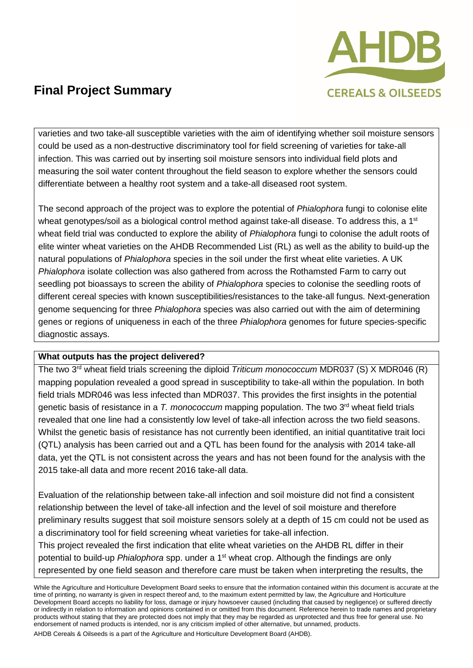

varieties and two take-all susceptible varieties with the aim of identifying whether soil moisture sensors could be used as a non-destructive discriminatory tool for field screening of varieties for take-all infection. This was carried out by inserting soil moisture sensors into individual field plots and measuring the soil water content throughout the field season to explore whether the sensors could differentiate between a healthy root system and a take-all diseased root system.

The second approach of the project was to explore the potential of *Phialophora* fungi to colonise elite wheat genotypes/soil as a biological control method against take-all disease. To address this, a 1<sup>st</sup> wheat field trial was conducted to explore the ability of *Phialophora* fungi to colonise the adult roots of elite winter wheat varieties on the AHDB Recommended List (RL) as well as the ability to build-up the natural populations of *Phialophora* species in the soil under the first wheat elite varieties. A UK *Phialophora* isolate collection was also gathered from across the Rothamsted Farm to carry out seedling pot bioassays to screen the ability of *Phialophora* species to colonise the seedling roots of different cereal species with known susceptibilities/resistances to the take-all fungus. Next-generation genome sequencing for three *Phialophora* species was also carried out with the aim of determining genes or regions of uniqueness in each of the three *Phialophora* genomes for future species-specific diagnostic assays.

### **What outputs has the project delivered?**

The two 3<sup>rd</sup> wheat field trials screening the diploid *Triticum monococcum* MDR037 (S) X MDR046 (R) mapping population revealed a good spread in susceptibility to take-all within the population. In both field trials MDR046 was less infected than MDR037. This provides the first insights in the potential genetic basis of resistance in a *T. monococcum* mapping population. The two 3rd wheat field trials revealed that one line had a consistently low level of take-all infection across the two field seasons. Whilst the genetic basis of resistance has not currently been identified, an initial quantitative trait loci (QTL) analysis has been carried out and a QTL has been found for the analysis with 2014 take-all data, yet the QTL is not consistent across the years and has not been found for the analysis with the 2015 take-all data and more recent 2016 take-all data.

Evaluation of the relationship between take-all infection and soil moisture did not find a consistent relationship between the level of take-all infection and the level of soil moisture and therefore preliminary results suggest that soil moisture sensors solely at a depth of 15 cm could not be used as a discriminatory tool for field screening wheat varieties for take-all infection. This project revealed the first indication that elite wheat varieties on the AHDB RL differ in their potential to build-up *Phialophora* spp. under a 1<sup>st</sup> wheat crop. Although the findings are only

represented by one field season and therefore care must be taken when interpreting the results, the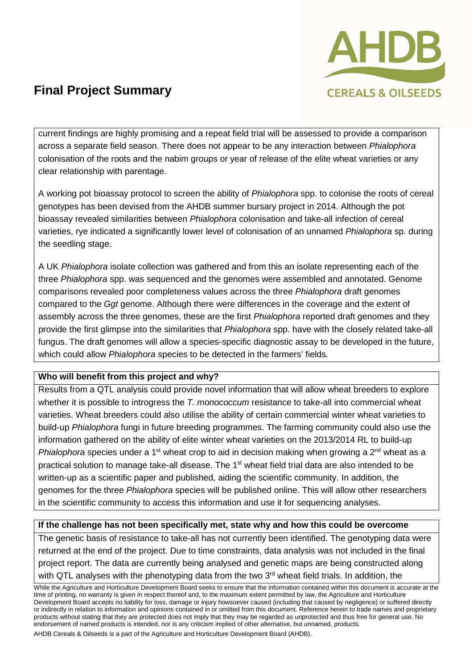

current findings are highly promising and a repeat field trial will be assessed to provide a comparison across a separate field season. There does not appear to be any interaction between *Phialophora* colonisation of the roots and the nabim groups or year of release of the elite wheat varieties or any clear relationship with parentage.

A working pot bioassay protocol to screen the ability of *Phialophora* spp. to colonise the roots of cereal genotypes has been devised from the AHDB summer bursary project in 2014. Although the pot bioassay revealed similarities between *Phialophora* colonisation and take-all infection of cereal varieties, rye indicated a significantly lower level of colonisation of an unnamed *Phialophora* sp. during the seedling stage.

A UK *Phialophora* isolate collection was gathered and from this an isolate representing each of the three *Phialophora* spp. was sequenced and the genomes were assembled and annotated. Genome comparisons revealed poor completeness values across the three *Phialophora* draft genomes compared to the *Ggt* genome. Although there were differences in the coverage and the extent of assembly across the three genomes, these are the first *Phialophora* reported draft genomes and they provide the first glimpse into the similarities that *Phialophora* spp. have with the closely related take-all fungus. The draft genomes will allow a species-specific diagnostic assay to be developed in the future, which could allow *Phialophora* species to be detected in the farmers' fields.

### **Who will benefit from this project and why?**

Results from a QTL analysis could provide novel information that will allow wheat breeders to explore whether it is possible to introgress the *T. monococcum* resistance to take-all into commercial wheat varieties. Wheat breeders could also utilise the ability of certain commercial winter wheat varieties to build-up *Phialophora* fungi in future breeding programmes. The farming community could also use the information gathered on the ability of elite winter wheat varieties on the 2013/2014 RL to build-up *Phialophora* species under a 1<sup>st</sup> wheat crop to aid in decision making when growing a 2<sup>nd</sup> wheat as a practical solution to manage take-all disease. The 1<sup>st</sup> wheat field trial data are also intended to be written-up as a scientific paper and published, aiding the scientific community. In addition, the genomes for the three *Phialophora* species will be published online. This will allow other researchers in the scientific community to access this information and use it for sequencing analyses.

### **If the challenge has not been specifically met, state why and how this could be overcome**

The genetic basis of resistance to take-all has not currently been identified. The genotyping data were returned at the end of the project. Due to time constraints, data analysis was not included in the final project report. The data are currently being analysed and genetic maps are being constructed along with QTL analyses with the phenotyping data from the two 3<sup>rd</sup> wheat field trials. In addition, the

While the Agriculture and Horticulture Development Board seeks to ensure that the information contained within this document is accurate at the time of printing, no warranty is given in respect thereof and, to the maximum extent permitted by law, the Agriculture and Horticulture Development Board accepts no liability for loss, damage or injury howsoever caused (including that caused by negligence) or suffered directly or indirectly in relation to information and opinions contained in or omitted from this document. Reference herein to trade names and proprietary products without stating that they are protected does not imply that they may be regarded as unprotected and thus free for general use. No endorsement of named products is intended, nor is any criticism implied of other alternative, but unnamed, products.